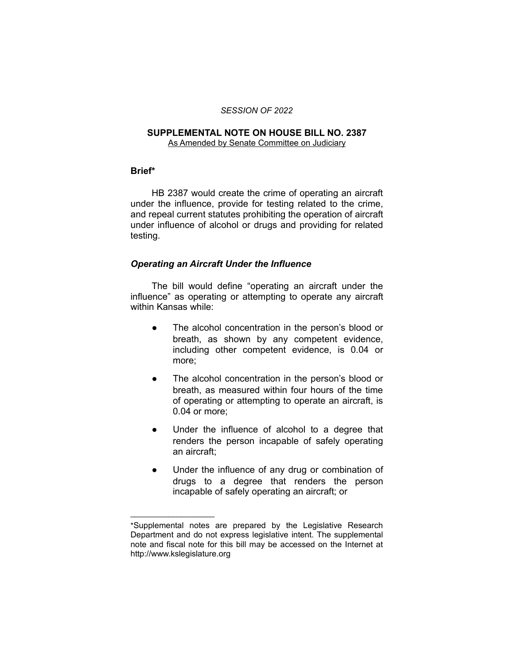#### *SESSION OF 2022*

# **SUPPLEMENTAL NOTE ON HOUSE BILL NO. 2387**

As Amended by Senate Committee on Judiciary

#### **Brief\***

HB 2387 would create the crime of operating an aircraft under the influence, provide for testing related to the crime, and repeal current statutes prohibiting the operation of aircraft under influence of alcohol or drugs and providing for related testing.

## *Operating an Aircraft Under the Influence*

The bill would define "operating an aircraft under the influence" as operating or attempting to operate any aircraft within Kansas while:

- The alcohol concentration in the person's blood or breath, as shown by any competent evidence, including other competent evidence, is 0.04 or more;
- The alcohol concentration in the person's blood or breath, as measured within four hours of the time of operating or attempting to operate an aircraft, is 0.04 or more;
- Under the influence of alcohol to a degree that renders the person incapable of safely operating an aircraft;
- Under the influence of any drug or combination of drugs to a degree that renders the person incapable of safely operating an aircraft; or

 $\overline{\phantom{a}}$  , where  $\overline{\phantom{a}}$ 

<sup>\*</sup>Supplemental notes are prepared by the Legislative Research Department and do not express legislative intent. The supplemental note and fiscal note for this bill may be accessed on the Internet at http://www.kslegislature.org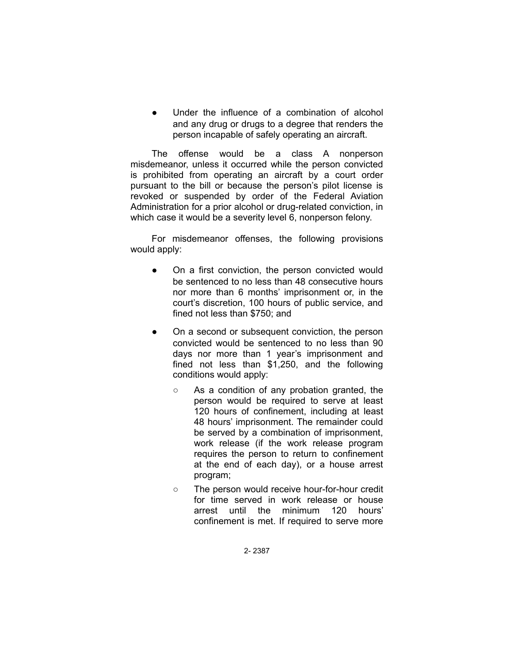Under the influence of a combination of alcohol and any drug or drugs to a degree that renders the person incapable of safely operating an aircraft.

The offense would be a class A nonperson misdemeanor, unless it occurred while the person convicted is prohibited from operating an aircraft by a court order pursuant to the bill or because the person's pilot license is revoked or suspended by order of the Federal Aviation Administration for a prior alcohol or drug-related conviction, in which case it would be a severity level 6, nonperson felony.

For misdemeanor offenses, the following provisions would apply:

- On a first conviction, the person convicted would be sentenced to no less than 48 consecutive hours nor more than 6 months' imprisonment or, in the court's discretion, 100 hours of public service, and fined not less than \$750; and
- On a second or subsequent conviction, the person convicted would be sentenced to no less than 90 days nor more than 1 year's imprisonment and fined not less than \$1,250, and the following conditions would apply:
	- As a condition of any probation granted, the person would be required to serve at least 120 hours of confinement, including at least 48 hours' imprisonment. The remainder could be served by a combination of imprisonment, work release (if the work release program requires the person to return to confinement at the end of each day), or a house arrest program;
	- The person would receive hour-for-hour credit for time served in work release or house arrest until the minimum 120 hours' confinement is met. If required to serve more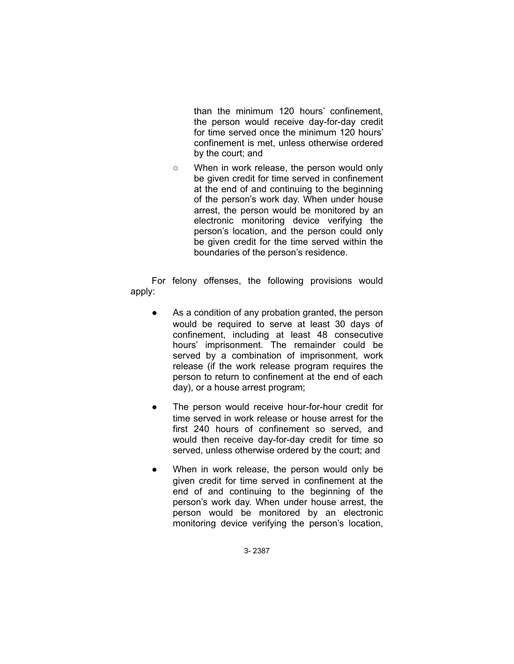than the minimum 120 hours' confinement, the person would receive day-for-day credit for time served once the minimum 120 hours' confinement is met, unless otherwise ordered by the court; and

○ When in work release, the person would only be given credit for time served in confinement at the end of and continuing to the beginning of the person's work day. When under house arrest, the person would be monitored by an electronic monitoring device verifying the person's location, and the person could only be given credit for the time served within the boundaries of the person's residence.

For felony offenses, the following provisions would apply:

- As a condition of any probation granted, the person would be required to serve at least 30 days of confinement, including at least 48 consecutive hours' imprisonment. The remainder could be served by a combination of imprisonment, work release (if the work release program requires the person to return to confinement at the end of each day), or a house arrest program;
- The person would receive hour-for-hour credit for time served in work release or house arrest for the first 240 hours of confinement so served, and would then receive day-for-day credit for time so served, unless otherwise ordered by the court; and
- When in work release, the person would only be given credit for time served in confinement at the end of and continuing to the beginning of the person's work day. When under house arrest, the person would be monitored by an electronic monitoring device verifying the person's location,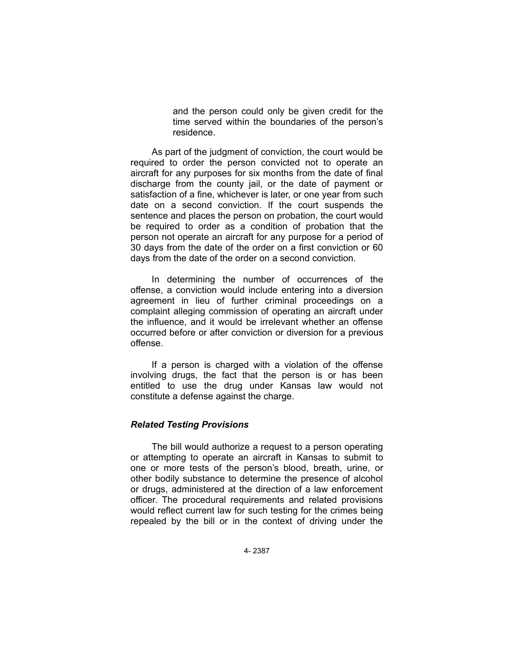and the person could only be given credit for the time served within the boundaries of the person's residence.

As part of the judgment of conviction, the court would be required to order the person convicted not to operate an aircraft for any purposes for six months from the date of final discharge from the county jail, or the date of payment or satisfaction of a fine, whichever is later, or one year from such date on a second conviction. If the court suspends the sentence and places the person on probation, the court would be required to order as a condition of probation that the person not operate an aircraft for any purpose for a period of 30 days from the date of the order on a first conviction or 60 days from the date of the order on a second conviction.

In determining the number of occurrences of the offense, a conviction would include entering into a diversion agreement in lieu of further criminal proceedings on a complaint alleging commission of operating an aircraft under the influence, and it would be irrelevant whether an offense occurred before or after conviction or diversion for a previous offense.

If a person is charged with a violation of the offense involving drugs, the fact that the person is or has been entitled to use the drug under Kansas law would not constitute a defense against the charge.

## *Related Testing Provisions*

The bill would authorize a request to a person operating or attempting to operate an aircraft in Kansas to submit to one or more tests of the person's blood, breath, urine, or other bodily substance to determine the presence of alcohol or drugs, administered at the direction of a law enforcement officer. The procedural requirements and related provisions would reflect current law for such testing for the crimes being repealed by the bill or in the context of driving under the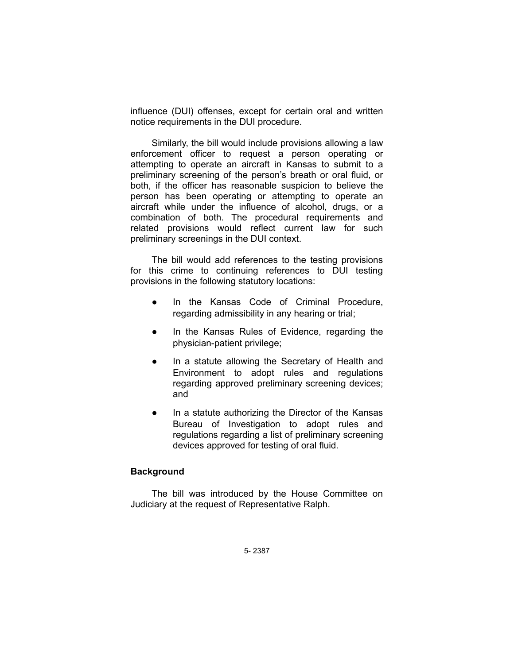influence (DUI) offenses, except for certain oral and written notice requirements in the DUI procedure.

Similarly, the bill would include provisions allowing a law enforcement officer to request a person operating or attempting to operate an aircraft in Kansas to submit to a preliminary screening of the person's breath or oral fluid, or both, if the officer has reasonable suspicion to believe the person has been operating or attempting to operate an aircraft while under the influence of alcohol, drugs, or a combination of both. The procedural requirements and related provisions would reflect current law for such preliminary screenings in the DUI context.

The bill would add references to the testing provisions for this crime to continuing references to DUI testing provisions in the following statutory locations:

- In the Kansas Code of Criminal Procedure, regarding admissibility in any hearing or trial;
- In the Kansas Rules of Evidence, regarding the physician-patient privilege;
- In a statute allowing the Secretary of Health and Environment to adopt rules and regulations regarding approved preliminary screening devices; and
- In a statute authorizing the Director of the Kansas Bureau of Investigation to adopt rules and regulations regarding a list of preliminary screening devices approved for testing of oral fluid.

#### **Background**

The bill was introduced by the House Committee on Judiciary at the request of Representative Ralph.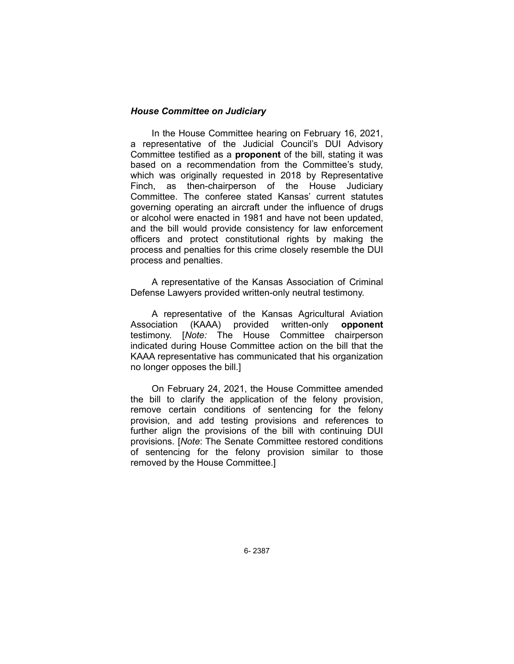#### *House Committee on Judiciary*

In the House Committee hearing on February 16, 2021, a representative of the Judicial Council's DUI Advisory Committee testified as a **proponent** of the bill, stating it was based on a recommendation from the Committee's study, which was originally requested in 2018 by Representative Finch, as then-chairperson of the House Judiciary Committee. The conferee stated Kansas' current statutes governing operating an aircraft under the influence of drugs or alcohol were enacted in 1981 and have not been updated, and the bill would provide consistency for law enforcement officers and protect constitutional rights by making the process and penalties for this crime closely resemble the DUI process and penalties.

A representative of the Kansas Association of Criminal Defense Lawyers provided written-only neutral testimony.

A representative of the Kansas Agricultural Aviation Association (KAAA) provided written-only **opponent** testimony. [*Note:* The House Committee chairperson indicated during House Committee action on the bill that the KAAA representative has communicated that his organization no longer opposes the bill.]

On February 24, 2021, the House Committee amended the bill to clarify the application of the felony provision, remove certain conditions of sentencing for the felony provision, and add testing provisions and references to further align the provisions of the bill with continuing DUI provisions. [*Note*: The Senate Committee restored conditions of sentencing for the felony provision similar to those removed by the House Committee.]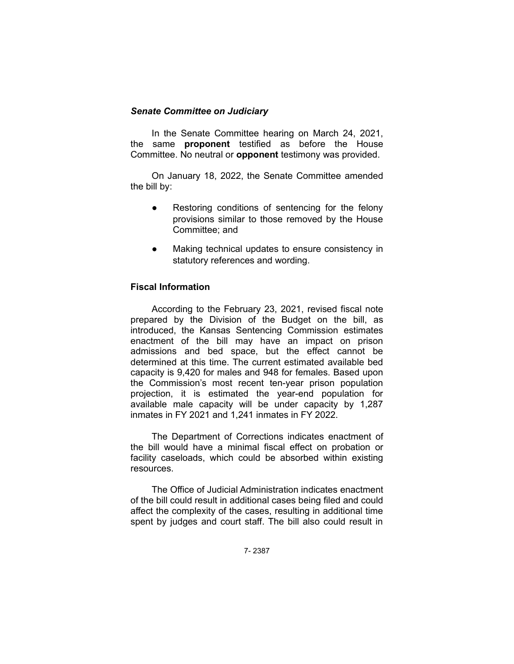## *Senate Committee on Judiciary*

In the Senate Committee hearing on March 24, 2021, the same **proponent** testified as before the House Committee. No neutral or **opponent** testimony was provided.

On January 18, 2022, the Senate Committee amended the bill by:

- Restoring conditions of sentencing for the felony provisions similar to those removed by the House Committee; and
- Making technical updates to ensure consistency in statutory references and wording.

## **Fiscal Information**

According to the February 23, 2021, revised fiscal note prepared by the Division of the Budget on the bill, as introduced, the Kansas Sentencing Commission estimates enactment of the bill may have an impact on prison admissions and bed space, but the effect cannot be determined at this time. The current estimated available bed capacity is 9,420 for males and 948 for females. Based upon the Commission's most recent ten-year prison population projection, it is estimated the year-end population for available male capacity will be under capacity by 1,287 inmates in FY 2021 and 1,241 inmates in FY 2022.

The Department of Corrections indicates enactment of the bill would have a minimal fiscal effect on probation or facility caseloads, which could be absorbed within existing resources.

The Office of Judicial Administration indicates enactment of the bill could result in additional cases being filed and could affect the complexity of the cases, resulting in additional time spent by judges and court staff. The bill also could result in